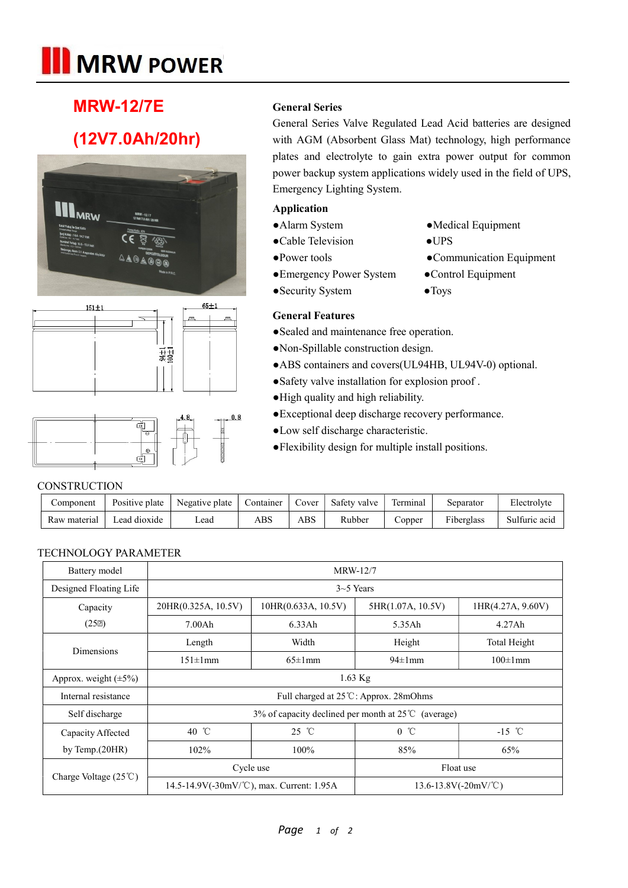# **III** MRW POWER

### MRW-12/7E

## (12V7.0Ah/20hr)







#### General Series

General Series Valve Regulated Lead Acid batteries are designed with AGM (Absorbent Glass Mat) technology, high performance plates and electrolyte to gain extra power output for common power backup system applications widely used in the field of UPS, Emergency Lighting System.

#### Application

- ●Alarm System ●Medical Equipment
- ●Cable Television ●UPS
- ●Power tools Communication Equipment
- ●Emergency Power System ●Control Equipment
- -
- Security System Toys
- General Features
- 
- ●Sealed and maintenance free operation.
- ●Non-Spillable construction design.
- ●ABS containers and covers(UL94HB, UL94V-0) optional.
- ●Safety valve installation for explosion proof .
- ●High quality and high reliability.
- ●Exceptional deep discharge recovery performance.
- ●Low self discharge characteristic.
- ●Flexibility design for multiple install positions.

#### **CONSTRUCTION**

| Component    | Positive plate | Negative plate | Container | Cover        | Safety valve | Terminal     | Separator  | Electrolyte   |
|--------------|----------------|----------------|-----------|--------------|--------------|--------------|------------|---------------|
| Raw material | Lead dioxide   | ∟ead           | ABS       | $_{\rm ABS}$ | Rubber       | $\cup$ opper | Fiberglass | Sulfuric acid |

#### TECHNOLOGY PARAMETER

| Battery model                         | <b>MRW-12/7</b>                                               |                                           |                           |                   |  |  |  |  |
|---------------------------------------|---------------------------------------------------------------|-------------------------------------------|---------------------------|-------------------|--|--|--|--|
| Designed Floating Life                | $3-5$ Years                                                   |                                           |                           |                   |  |  |  |  |
| Capacity                              | 20HR(0.325A, 10.5V)<br>10HR(0.633A, 10.5V)                    |                                           | 5HR(1.07A, 10.5V)         | 1HR(4.27A, 9.60V) |  |  |  |  |
| $(25\mathbb{Z})$                      | 7.00Ah                                                        | 6.33Ah                                    | 5.35Ah                    | 4.27Ah            |  |  |  |  |
| <b>Dimensions</b>                     | Length                                                        | Width                                     | Height                    | Total Height      |  |  |  |  |
|                                       | $151 \pm 1 \text{mm}$<br>$94\pm1$ mm<br>$65 \pm 1$ mm         |                                           | $100\pm1$ mm              |                   |  |  |  |  |
| Approx. weight $(\pm 5\%)$            | $1.63$ Kg                                                     |                                           |                           |                   |  |  |  |  |
| Internal resistance                   | Full charged at 25 ℃: Approx. 28mOhms                         |                                           |                           |                   |  |  |  |  |
| Self discharge                        | 3% of capacity declined per month at $25^{\circ}$ C (average) |                                           |                           |                   |  |  |  |  |
| Capacity Affected                     | 40 °C                                                         | $25 \text{ }^{\circ}C$                    | $0^{\circ}$ $\mathbb{C}$  | $-15$ °C          |  |  |  |  |
| by Temp. $(20HR)$                     | 102%                                                          | 100%                                      | 85%                       | 65%               |  |  |  |  |
|                                       |                                                               | Cycle use                                 | Float use                 |                   |  |  |  |  |
| Charge Voltage $(25^{\circ}\text{C})$ |                                                               | 14.5-14.9V(-30mV/°C), max. Current: 1.95A | $13.6 - 13.8V(-20mV)$ °C) |                   |  |  |  |  |